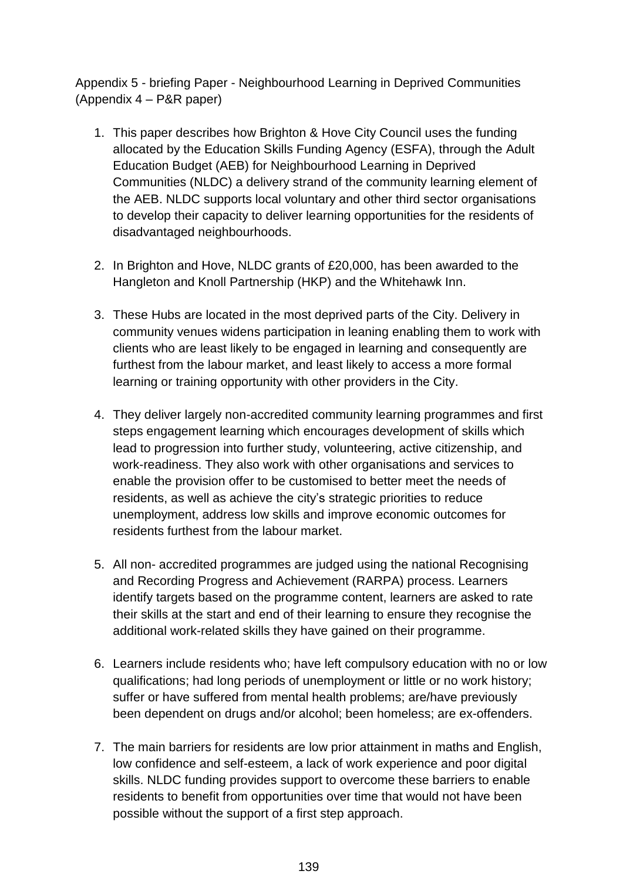Appendix 5 - briefing Paper - Neighbourhood Learning in Deprived Communities (Appendix 4 – P&R paper)

- 1. This paper describes how Brighton & Hove City Council uses the funding allocated by the Education Skills Funding Agency (ESFA), through the Adult Education Budget (AEB) for Neighbourhood Learning in Deprived Communities (NLDC) a delivery strand of the community learning element of the AEB. NLDC supports local voluntary and other third sector organisations to develop their capacity to deliver learning opportunities for the residents of disadvantaged neighbourhoods.
- 2. In Brighton and Hove, NLDC grants of £20,000, has been awarded to the Hangleton and Knoll Partnership (HKP) and the Whitehawk Inn.
- 3. These Hubs are located in the most deprived parts of the City. Delivery in community venues widens participation in leaning enabling them to work with clients who are least likely to be engaged in learning and consequently are furthest from the labour market, and least likely to access a more formal learning or training opportunity with other providers in the City.
- 4. They deliver largely non-accredited community learning programmes and first steps engagement learning which encourages development of skills which lead to progression into further study, volunteering, active citizenship, and work-readiness. They also work with other organisations and services to enable the provision offer to be customised to better meet the needs of residents, as well as achieve the city's strategic priorities to reduce unemployment, address low skills and improve economic outcomes for residents furthest from the labour market.
- 5. All non- accredited programmes are judged using the national Recognising and Recording Progress and Achievement (RARPA) process. Learners identify targets based on the programme content, learners are asked to rate their skills at the start and end of their learning to ensure they recognise the additional work-related skills they have gained on their programme.
- 6. Learners include residents who; have left compulsory education with no or low qualifications; had long periods of unemployment or little or no work history; suffer or have suffered from mental health problems; are/have previously been dependent on drugs and/or alcohol; been homeless; are ex-offenders.
- 7. The main barriers for residents are low prior attainment in maths and English, low confidence and self-esteem, a lack of work experience and poor digital skills. NLDC funding provides support to overcome these barriers to enable residents to benefit from opportunities over time that would not have been possible without the support of a first step approach.